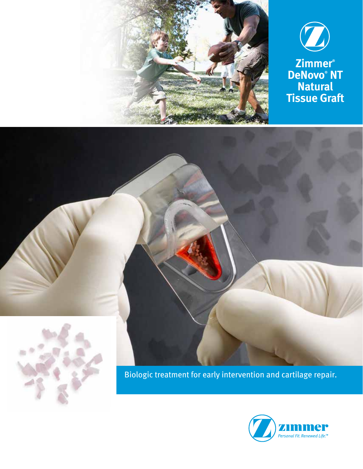





Biologic treatment for early intervention and cartilage repair.

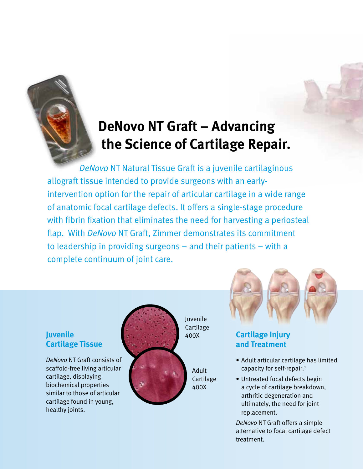# **DeNovo NT Graft – Advancing the Science of Cartilage Repair.**

 *DeNovo* NT Natural Tissue Graft is a juvenile cartilaginous allograft tissue intended to provide surgeons with an earlyintervention option for the repair of articular cartilage in a wide range of anatomic focal cartilage defects. It offers a single-stage procedure with fibrin fixation that eliminates the need for harvesting a periosteal flap. With *DeNovo* NT Graft, Zimmer demonstrates its commitment to leadership in providing surgeons – and their patients – with a complete continuum of joint care.

### **Juvenile Cartilage Tissue**

*DeNovo* NT Graft consists of scaffold-free living articular cartilage, displaying biochemical properties similar to those of articular cartilage found in young, healthy joints.



Juvenile Cartilage 400X

> Adult Cartilage 400X



## **Cartilage Injury and Treatment**

- Adult articular cartilage has limited capacity for self-repair.1
- Untreated focal defects begin a cycle of cartilage breakdown, arthritic degeneration and ultimately, the need for joint replacement.

*DeNovo* NT Graft offers a simple alternative to focal cartilage defect treatment.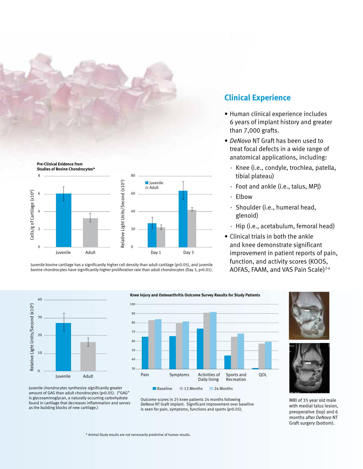



Juvenile bovine cartilage has a significantly higher cell density than adult cartilage (p<0.05), and juvenile bovine chondrocytes have significantly higher proliferation rate than adult chondrocytes (Day 3, p<0.01).

### **Clinical Experience**

- Human clinical experience includes 6 years of implant history and greater than 7,000 grafts.
- *DeNovo* NT Graft has been used to treat focal defects in a wide range of anatomical applications, including:
	- · Knee (i.e., condyle, trochlea, patella, tibial plateau)
	- · Foot and ankle (i.e., talus, MPJ)
	- · Elbow
	- · Shoulder (i.e., humeral head, glenoid)
	- · Hip (i.e., acetabulum, femoral head)
- Clinical trials in both the ankle and knee demonstrate significant improvement in patient reports of pain, function, and activity scores (KOOS, AOFAS, FAAM, and VAS Pain Scale)<sup>2-4</sup>







MRI of 35 year old male with medial talus lesion, preoperative (top) and 6 months after *DeNovo* NT Graft surgery (bottom).

Juvenile chondrocytes synthesize significantly greater amount of GAG than adult chondrocytes (p<0.05). ("GAG" is glycosaminoglycan, a naturally occurring carbohydrate found in cartilage that decreases inflammation and serves as the building blocks of new cartilage.)

Outcome scores in 25 knee patients 24 months following *DeNovo* NT Graft implant. Significant improvement over baseline is seen for pain, symptoms, functions and sports (p<0.05).